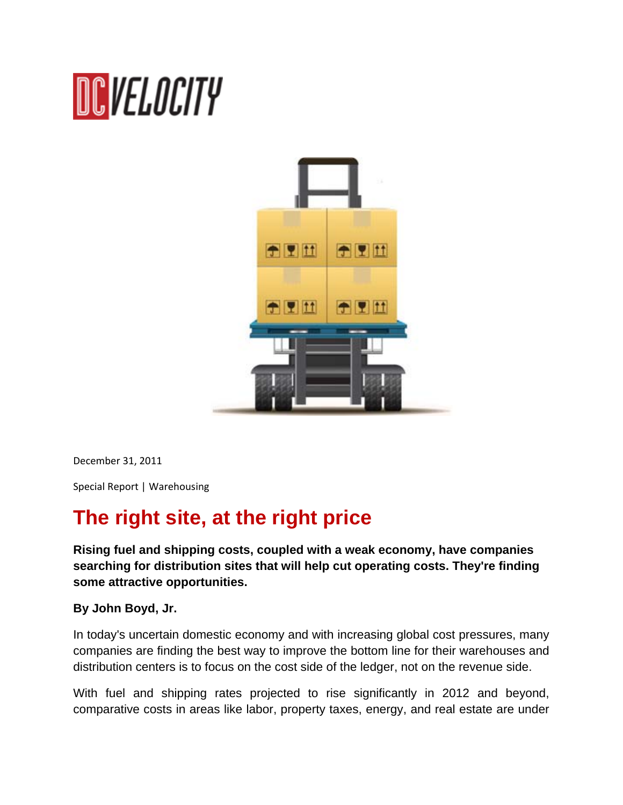# DCVELOCITY



December 31, 2011

Special Report | Warehousing

# **The right site, at the right price**

**Rising fuel and shipping costs, coupled with a weak economy, have companies searching for distribution sites that will help cut operating costs. They're finding some attractive opportunities.**

### **By John Boyd, Jr.**

In today's uncertain domestic economy and with increasing global cost pressures, many companies are finding the best way to improve the bottom line for their warehouses and distribution centers is to focus on the cost side of the ledger, not on the revenue side.

With fuel and shipping rates projected to rise significantly in 2012 and beyond, comparative costs in areas like labor, property taxes, energy, and real estate are under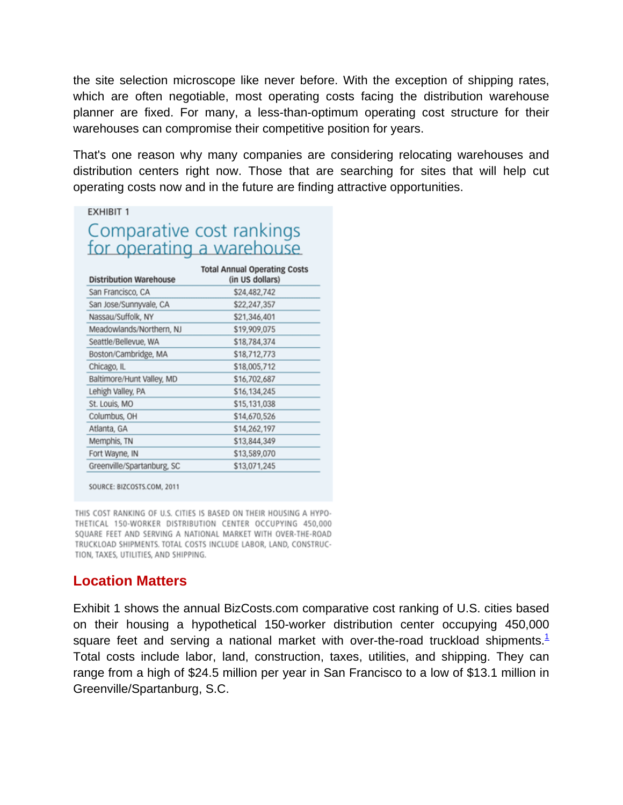the site selection microscope like never before. With the exception of shipping rates, which are often negotiable, most operating costs facing the distribution warehouse planner are fixed. For many, a less-than-optimum operating cost structure for their warehouses can compromise their competitive position for years.

That's one reason why many companies are considering relocating warehouses and distribution centers right now. Those that are searching for sites that will help cut operating costs now and in the future are finding attractive opportunities.

#### **EXHIBIT 1**

# Comparative cost rankings for operating a warehouse

| <b>Distribution Warehouse</b> | <b>Total Annual Operating Costs</b><br>(in US dollars) |
|-------------------------------|--------------------------------------------------------|
| San Francisco, CA             | \$24,482,742                                           |
| San Jose/Sunnyvale, CA        | \$22,247,357                                           |
| Nassau/Suffolk, NY            | \$21,346,401                                           |
| Meadowlands/Northern, NJ      | \$19,909,075                                           |
| Seattle/Bellevue, WA          | \$18,784,374                                           |
| Boston/Cambridge, MA          | \$18,712,773                                           |
| Chicago, IL                   | \$18,005,712                                           |
| Baltimore/Hunt Valley, MD     | \$16,702,687                                           |
| Lehigh Valley, PA             | \$16,134,245                                           |
| St. Louis, MO                 | \$15,131,038                                           |
| Columbus, OH                  | \$14,670,526                                           |
| Atlanta, GA                   | \$14,262,197                                           |
| Memphis, TN                   | \$13,844,349                                           |
| Fort Wayne, IN                | \$13,589,070                                           |
| Greenville/Spartanburg, SC    | \$13,071,245                                           |

SOURCE: BIZCOSTS.COM, 2011

THIS COST RANKING OF U.S. CITIES IS BASED ON THEIR HOUSING A HYPO-THETICAL 150-WORKER DISTRIBUTION CENTER OCCUPYING 450,000 SQUARE FEET AND SERVING A NATIONAL MARKET WITH OVER-THE-ROAD TRUCKLOAD SHIPMENTS. TOTAL COSTS INCLUDE LABOR, LAND, CONSTRUC-TION, TAXES, UTILITIES, AND SHIPPING.

## **Location Matters**

Exhibit 1 shows the annual BizCosts.com comparative cost ranking of U.S. cities based on their housing a hypothetical 150-worker distribution center occupying 450,000 square feet and serving a national market with over-the-road truckload shipments.<sup>1</sup> Total costs include labor, land, construction, taxes, utilities, and shipping. They can range from a high of \$24.5 million per year in San Francisco to a low of \$13.1 million in Greenville/Spartanburg, S.C.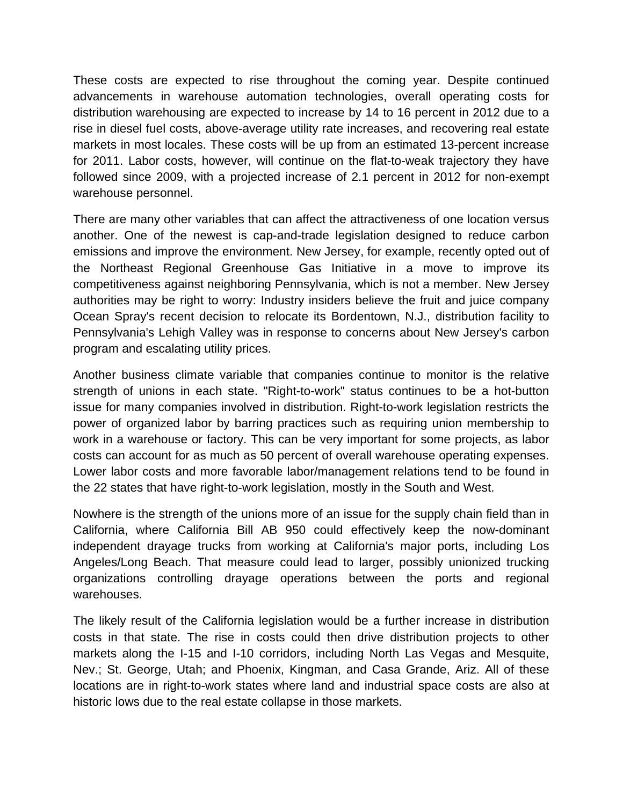These costs are expected to rise throughout the coming year. Despite continued advancements in warehouse automation technologies, overall operating costs for distribution warehousing are expected to increase by 14 to 16 percent in 2012 due to a rise in diesel fuel costs, above-average utility rate increases, and recovering real estate markets in most locales. These costs will be up from an estimated 13-percent increase for 2011. Labor costs, however, will continue on the flat-to-weak trajectory they have followed since 2009, with a projected increase of 2.1 percent in 2012 for non-exempt warehouse personnel.

There are many other variables that can affect the attractiveness of one location versus another. One of the newest is cap-and-trade legislation designed to reduce carbon emissions and improve the environment. New Jersey, for example, recently opted out of the Northeast Regional Greenhouse Gas Initiative in a move to improve its competitiveness against neighboring Pennsylvania, which is not a member. New Jersey authorities may be right to worry: Industry insiders believe the fruit and juice company Ocean Spray's recent decision to relocate its Bordentown, N.J., distribution facility to Pennsylvania's Lehigh Valley was in response to concerns about New Jersey's carbon program and escalating utility prices.

Another business climate variable that companies continue to monitor is the relative strength of unions in each state. "Right-to-work" status continues to be a hot-button issue for many companies involved in distribution. Right-to-work legislation restricts the power of organized labor by barring practices such as requiring union membership to work in a warehouse or factory. This can be very important for some projects, as labor costs can account for as much as 50 percent of overall warehouse operating expenses. Lower labor costs and more favorable labor/management relations tend to be found in the 22 states that have right-to-work legislation, mostly in the South and West.

Nowhere is the strength of the unions more of an issue for the supply chain field than in California, where California Bill AB 950 could effectively keep the now-dominant independent drayage trucks from working at California's major ports, including Los Angeles/Long Beach. That measure could lead to larger, possibly unionized trucking organizations controlling drayage operations between the ports and regional warehouses.

The likely result of the California legislation would be a further increase in distribution costs in that state. The rise in costs could then drive distribution projects to other markets along the I-15 and I-10 corridors, including North Las Vegas and Mesquite, Nev.; St. George, Utah; and Phoenix, Kingman, and Casa Grande, Ariz. All of these locations are in right-to-work states where land and industrial space costs are also at historic lows due to the real estate collapse in those markets.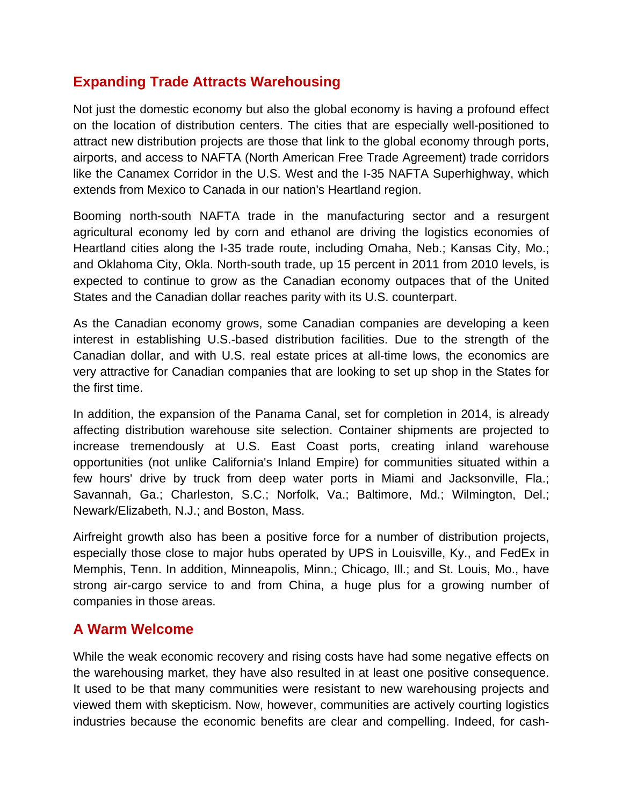## **Expanding Trade Attracts Warehousing**

Not just the domestic economy but also the global economy is having a profound effect on the location of distribution centers. The cities that are especially well-positioned to attract new distribution projects are those that link to the global economy through ports, airports, and access to NAFTA (North American Free Trade Agreement) trade corridors like the Canamex Corridor in the U.S. West and the I-35 NAFTA Superhighway, which extends from Mexico to Canada in our nation's Heartland region.

Booming north-south NAFTA trade in the manufacturing sector and a resurgent agricultural economy led by corn and ethanol are driving the logistics economies of Heartland cities along the I-35 trade route, including Omaha, Neb.; Kansas City, Mo.; and Oklahoma City, Okla. North-south trade, up 15 percent in 2011 from 2010 levels, is expected to continue to grow as the Canadian economy outpaces that of the United States and the Canadian dollar reaches parity with its U.S. counterpart.

As the Canadian economy grows, some Canadian companies are developing a keen interest in establishing U.S.-based distribution facilities. Due to the strength of the Canadian dollar, and with U.S. real estate prices at all-time lows, the economics are very attractive for Canadian companies that are looking to set up shop in the States for the first time.

In addition, the expansion of the Panama Canal, set for completion in 2014, is already affecting distribution warehouse site selection. Container shipments are projected to increase tremendously at U.S. East Coast ports, creating inland warehouse opportunities (not unlike California's Inland Empire) for communities situated within a few hours' drive by truck from deep water ports in Miami and Jacksonville, Fla.; Savannah, Ga.; Charleston, S.C.; Norfolk, Va.; Baltimore, Md.; Wilmington, Del.; Newark/Elizabeth, N.J.; and Boston, Mass.

Airfreight growth also has been a positive force for a number of distribution projects, especially those close to major hubs operated by UPS in Louisville, Ky., and FedEx in Memphis, Tenn. In addition, Minneapolis, Minn.; Chicago, Ill.; and St. Louis, Mo., have strong air-cargo service to and from China, a huge plus for a growing number of companies in those areas.

## **A Warm Welcome**

While the weak economic recovery and rising costs have had some negative effects on the warehousing market, they have also resulted in at least one positive consequence. It used to be that many communities were resistant to new warehousing projects and viewed them with skepticism. Now, however, communities are actively courting logistics industries because the economic benefits are clear and compelling. Indeed, for cash